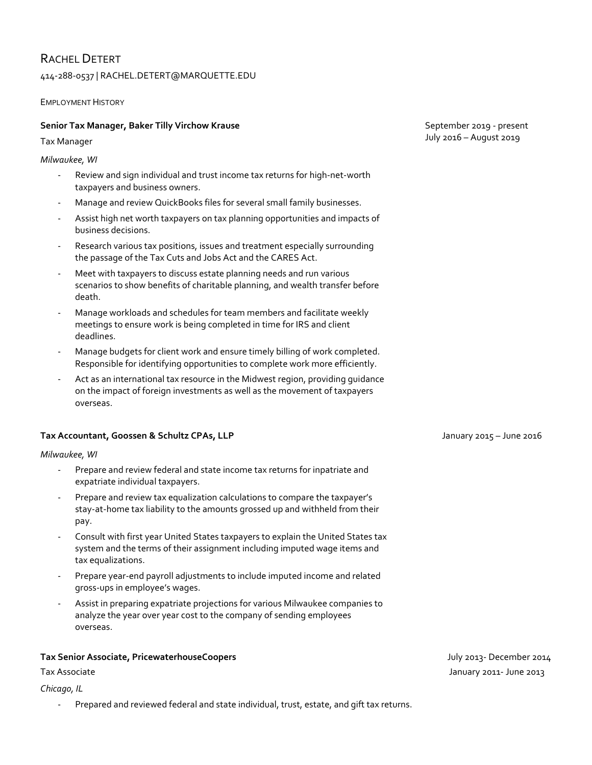# RACHEL DETERT

## 414-288-0537 | RACHEL.DETERT@MARQUETTE.EDU

EMPLOYMENT HISTORY

## **Senior Tax Manager, Baker Tilly Virchow Krause**

Tax Manager

*Milwaukee, WI*

- Review and sign individual and trust income tax returns for high-net-worth taxpayers and business owners.
- Manage and review QuickBooks files for several small family businesses.
- Assist high net worth taxpayers on tax planning opportunities and impacts of business decisions.
- Research various tax positions, issues and treatment especially surrounding the passage of the Tax Cuts and Jobs Act and the CARES Act.
- Meet with taxpayers to discuss estate planning needs and run various scenarios to show benefits of charitable planning, and wealth transfer before death.
- Manage workloads and schedules for team members and facilitate weekly meetings to ensure work is being completed in time for IRS and client deadlines.
- Manage budgets for client work and ensure timely billing of work completed. Responsible for identifying opportunities to complete work more efficiently.
- Act as an international tax resource in the Midwest region, providing guidance on the impact of foreign investments as well as the movement of taxpayers overseas.

## **Tax Accountant, Goossen & Schultz CPAs, LLP January 2015 – June 2016** January 2015 – June 2016

## *Milwaukee, WI*

- Prepare and review federal and state income tax returns for inpatriate and expatriate individual taxpayers.
- Prepare and review tax equalization calculations to compare the taxpayer's stay-at-home tax liability to the amounts grossed up and withheld from their pay.
- Consult with first year United States taxpayers to explain the United States tax system and the terms of their assignment including imputed wage items and tax equalizations.
- Prepare year-end payroll adjustments to include imputed income and related gross-ups in employee's wages.
- Assist in preparing expatriate projections for various Milwaukee companies to analyze the year over year cost to the company of sending employees overseas.

## **Tax Senior Associate, PricewaterhouseCoopers** July 2013- December 2014

*Chicago, IL* 

- Prepared and reviewed federal and state individual, trust, estate, and gift tax returns.

 September 2019 - present July 2016 – August 2019

Tax Associate Samuary 2011- June 2013